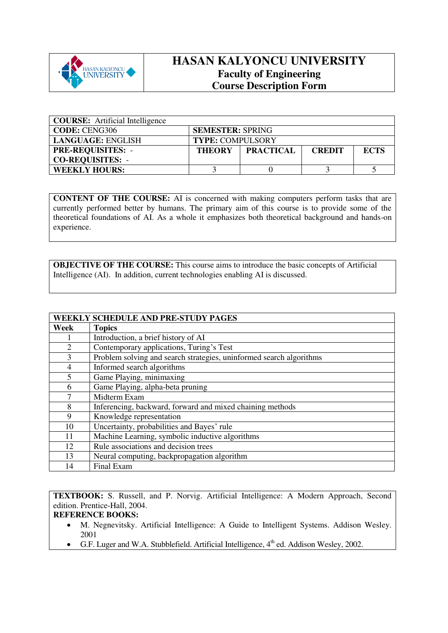

## **HASAN KALYONCU UNIVERSITY Faculty of Engineering Course Description Form**

| <b>COURSE:</b> Artificial Intelligence |                         |                  |               |             |
|----------------------------------------|-------------------------|------------------|---------------|-------------|
| CODE: CENG306                          | <b>SEMESTER: SPRING</b> |                  |               |             |
| LANGUAGE: ENGLISH                      | <b>TYPE: COMPULSORY</b> |                  |               |             |
| <b>PRE-REQUISITES: -</b>               | <b>THEORY</b>           | <b>PRACTICAL</b> | <b>CREDIT</b> | <b>ECTS</b> |
| <b>CO-REQUISITES: -</b>                |                         |                  |               |             |
| <b>WEEKLY HOURS:</b>                   |                         |                  |               |             |

**CONTENT OF THE COURSE:** AI is concerned with making computers perform tasks that are currently performed better by humans. The primary aim of this course is to provide some of the theoretical foundations of AI. As a whole it emphasizes both theoretical background and hands-on experience.

**OBJECTIVE OF THE COURSE:** This course aims to introduce the basic concepts of Artificial Intelligence (AI). In addition, current technologies enabling AI is discussed.

|      | <b>WEEKLY SCHEDULE AND PRE-STUDY PAGES</b>                          |
|------|---------------------------------------------------------------------|
| Week | <b>Topics</b>                                                       |
|      | Introduction, a brief history of AI                                 |
| 2    | Contemporary applications, Turing's Test                            |
| 3    | Problem solving and search strategies, uninformed search algorithms |
| 4    | Informed search algorithms                                          |
| 5    | Game Playing, minimaxing                                            |
| 6    | Game Playing, alpha-beta pruning                                    |
| 7    | Midterm Exam                                                        |
| 8    | Inferencing, backward, forward and mixed chaining methods           |
| 9    | Knowledge representation                                            |
| 10   | Uncertainty, probabilities and Bayes' rule                          |
| 11   | Machine Learning, symbolic inductive algorithms                     |
| 12   | Rule associations and decision trees                                |
| 13   | Neural computing, backpropagation algorithm                         |
| 14   | Final Exam                                                          |

**TEXTBOOK:** S. Russell, and P. Norvig. Artificial Intelligence: A Modern Approach, Second edition. Prentice-Hall, 2004.

## **REFERENCE BOOKS:**

- M. Negnevitsky. Artificial Intelligence: A Guide to Intelligent Systems. Addison Wesley. 2001
- G.F. Luger and W.A. Stubblefield. Artificial Intelligence,  $4<sup>th</sup>$  ed. Addison Wesley, 2002.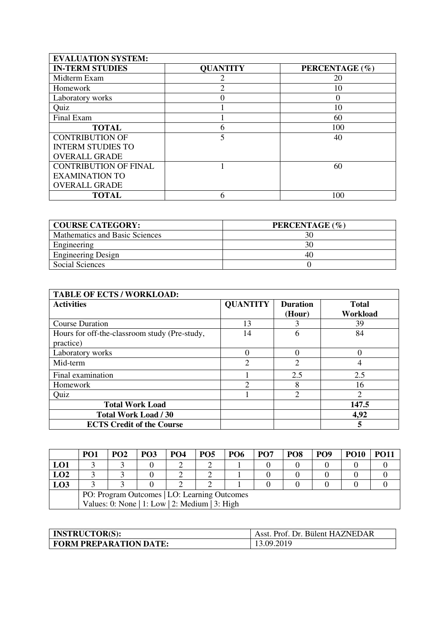| <b>EVALUATION SYSTEM:</b>    |                          |                |
|------------------------------|--------------------------|----------------|
| <b>IN-TERM STUDIES</b>       | <b>QUANTITY</b>          | PERCENTAGE (%) |
| Midterm Exam                 |                          | 20             |
| Homework                     | っ                        | 10             |
| Laboratory works             | 0                        | $\Omega$       |
| Quiz                         |                          | 10             |
| Final Exam                   |                          | 60             |
| <b>TOTAL</b>                 | 6                        | 100            |
| <b>CONTRIBUTION OF</b>       | $\overline{\phantom{0}}$ | 40             |
| <b>INTERM STUDIES TO</b>     |                          |                |
| <b>OVERALL GRADE</b>         |                          |                |
| <b>CONTRIBUTION OF FINAL</b> |                          | 60             |
| <b>EXAMINATION TO</b>        |                          |                |
| <b>OVERALL GRADE</b>         |                          |                |
| <b>TOTAL</b>                 | 6                        | 100            |

| <b>COURSE CATEGORY:</b>        | PERCENTAGE (%) |
|--------------------------------|----------------|
| Mathematics and Basic Sciences | 30             |
| Engineering                    | 30             |
| <b>Engineering Design</b>      | 40             |
| Social Sciences                |                |

| <b>TABLE OF ECTS / WORKLOAD:</b>                           |                 |                           |                          |  |  |
|------------------------------------------------------------|-----------------|---------------------------|--------------------------|--|--|
| <b>Activities</b>                                          | <b>QUANTITY</b> | <b>Duration</b><br>(Hour) | <b>Total</b><br>Workload |  |  |
| <b>Course Duration</b>                                     | 13              |                           | 39                       |  |  |
| Hours for off-the-classroom study (Pre-study,<br>practice) | 14              | 6                         | 84                       |  |  |
| Laboratory works                                           | 0               |                           |                          |  |  |
| Mid-term                                                   | $\overline{2}$  | 2                         | 4                        |  |  |
| Final examination                                          |                 | 2.5                       | 2.5                      |  |  |
| Homework                                                   | C               | 8                         | 16                       |  |  |
| Quiz                                                       |                 | $\mathfrak{D}$            | $\overline{2}$           |  |  |
| <b>Total Work Load</b>                                     |                 |                           | 147.5                    |  |  |
| <b>Total Work Load / 30</b>                                |                 |                           | 4,92                     |  |  |
| <b>ECTS Credit of the Course</b>                           |                 |                           | 5                        |  |  |

|     | PO <sub>1</sub>                                | <b>PO2</b> | <b>PO3</b> | PO <sub>4</sub> | PO <sub>5</sub> | PO <sub>6</sub> | PO <sub>7</sub> | PO <sub>8</sub> | <b>PO9</b> | <b>PO10</b> | <b>PO11</b> |
|-----|------------------------------------------------|------------|------------|-----------------|-----------------|-----------------|-----------------|-----------------|------------|-------------|-------------|
| LO1 |                                                |            |            |                 |                 |                 |                 |                 |            |             |             |
| LO2 |                                                |            |            |                 |                 |                 |                 |                 |            |             |             |
| LO3 |                                                |            |            |                 |                 |                 |                 |                 |            |             |             |
|     | PO: Program Outcomes   LO: Learning Outcomes   |            |            |                 |                 |                 |                 |                 |            |             |             |
|     | Values: 0: None   1: Low   2: Medium   3: High |            |            |                 |                 |                 |                 |                 |            |             |             |

| <b>INSTRUCTOR(S):</b>         | Asst. Prof. Dr. Bülent HAZNEDAR |
|-------------------------------|---------------------------------|
| <b>FORM PREPARATION DATE:</b> | 13.09.2019                      |